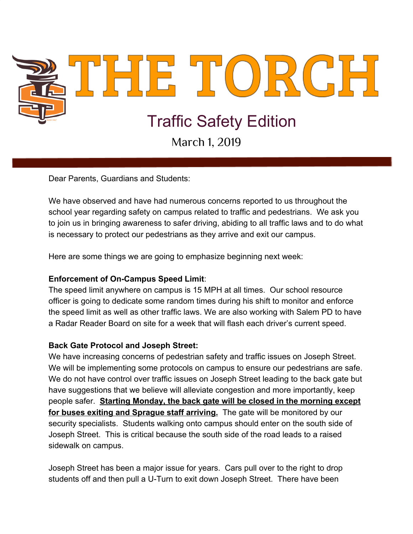

Dear Parents, Guardians and Students:

We have observed and have had numerous concerns reported to us throughout the school year regarding safety on campus related to traffic and pedestrians. We ask you to join us in bringing awareness to safer driving, abiding to all traffic laws and to do what is necessary to protect our pedestrians as they arrive and exit our campus.

Here are some things we are going to emphasize beginning next week:

## **Enforcement of On-Campus Speed Limit**:

The speed limit anywhere on campus is 15 MPH at all times. Our school resource officer is going to dedicate some random times during his shift to monitor and enforce the speed limit as well as other traffic laws. We are also working with Salem PD to have a Radar Reader Board on site for a week that will flash each driver's current speed.

## **Back Gate Protocol and Joseph Street:**

We have increasing concerns of pedestrian safety and traffic issues on Joseph Street. We will be implementing some protocols on campus to ensure our pedestrians are safe. We do not have control over traffic issues on Joseph Street leading to the back gate but have suggestions that we believe will alleviate congestion and more importantly, keep people safer. **Starting Monday, the back gate will be closed in the morning except for buses exiting and Sprague staff arriving.** The gate will be monitored by our security specialists. Students walking onto campus should enter on the south side of Joseph Street. This is critical because the south side of the road leads to a raised sidewalk on campus.

Joseph Street has been a major issue for years. Cars pull over to the right to drop students off and then pull a U-Turn to exit down Joseph Street. There have been